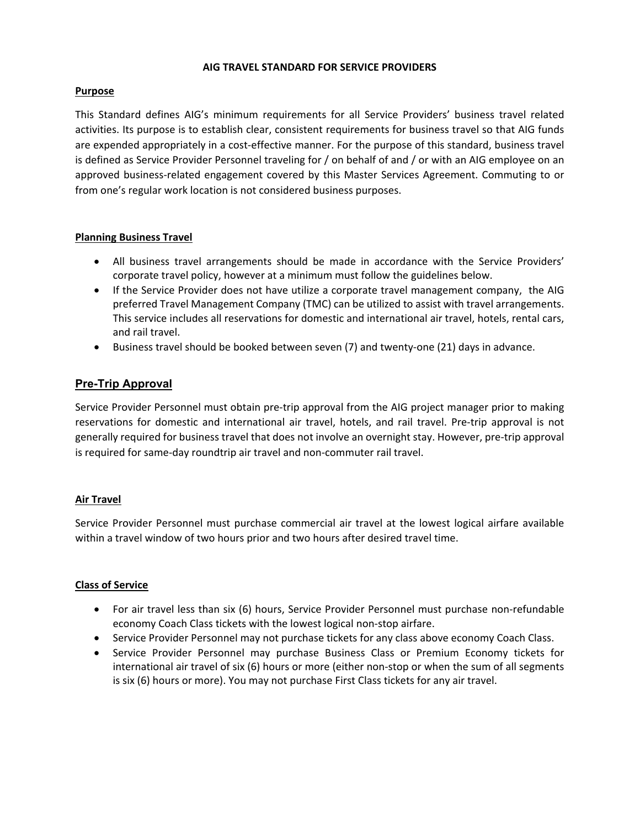#### **AIG TRAVEL STANDARD FOR SERVICE PROVIDERS**

# **Purpose**

This Standard defines AIG's minimum requirements for all Service Providers' business travel related activities. Its purpose is to establish clear, consistent requirements for business travel so that AIG funds are expended appropriately in a cost-effective manner. For the purpose of this standard, business travel is defined as Service Provider Personnel traveling for / on behalf of and / or with an AIG employee on an approved business-related engagement covered by this Master Services Agreement. Commuting to or from one's regular work location is not considered business purposes.

# **Planning Business Travel**

- All business travel arrangements should be made in accordance with the Service Providers' corporate travel policy, however at a minimum must follow the guidelines below.
- If the Service Provider does not have utilize a corporate travel management company, the AIG preferred Travel Management Company (TMC) can be utilized to assist with travel arrangements. This service includes all reservations for domestic and international air travel, hotels, rental cars, and rail travel.
- Business travel should be booked between seven (7) and twenty-one (21) days in advance.

# **Pre-Trip Approval**

Service Provider Personnel must obtain pre-trip approval from the AIG project manager prior to making reservations for domestic and international air travel, hotels, and rail travel. Pre-trip approval is not generally required for business travel that does not involve an overnight stay. However, pre-trip approval is required for same-day roundtrip air travel and non-commuter rail travel.

# **Air Travel**

Service Provider Personnel must purchase commercial air travel at the lowest logical airfare available within a travel window of two hours prior and two hours after desired travel time.

# **Class of Service**

- For air travel less than six (6) hours, Service Provider Personnel must purchase non-refundable economy Coach Class tickets with the lowest logical non-stop airfare.
- Service Provider Personnel may not purchase tickets for any class above economy Coach Class.
- Service Provider Personnel may purchase Business Class or Premium Economy tickets for international air travel of six (6) hours or more (either non-stop or when the sum of all segments is six (6) hours or more). You may not purchase First Class tickets for any air travel.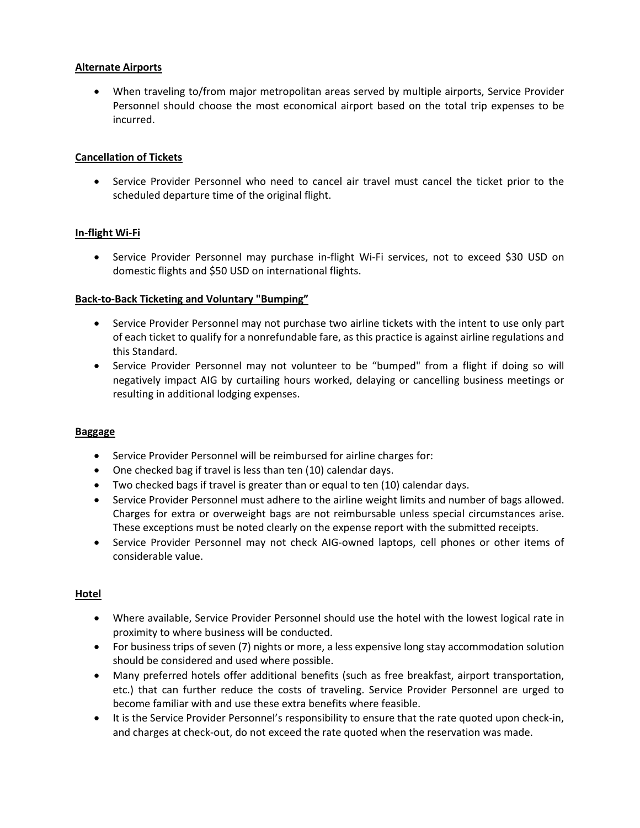# **Alternate Airports**

• When traveling to/from major metropolitan areas served by multiple airports, Service Provider Personnel should choose the most economical airport based on the total trip expenses to be incurred.

# **Cancellation of Tickets**

• Service Provider Personnel who need to cancel air travel must cancel the ticket prior to the scheduled departure time of the original flight.

# **In-flight Wi-Fi**

• Service Provider Personnel may purchase in-flight Wi-Fi services, not to exceed \$30 USD on domestic flights and \$50 USD on international flights.

# **Back-to-Back Ticketing and Voluntary "Bumping"**

- Service Provider Personnel may not purchase two airline tickets with the intent to use only part of each ticket to qualify for a nonrefundable fare, as this practice is against airline regulations and this Standard.
- Service Provider Personnel may not volunteer to be "bumped" from a flight if doing so will negatively impact AIG by curtailing hours worked, delaying or cancelling business meetings or resulting in additional lodging expenses.

# **Baggage**

- Service Provider Personnel will be reimbursed for airline charges for:
- One checked bag if travel is less than ten (10) calendar days.
- Two checked bags if travel is greater than or equal to ten (10) calendar days.
- Service Provider Personnel must adhere to the airline weight limits and number of bags allowed. Charges for extra or overweight bags are not reimbursable unless special circumstances arise. These exceptions must be noted clearly on the expense report with the submitted receipts.
- Service Provider Personnel may not check AIG-owned laptops, cell phones or other items of considerable value.

# **Hotel**

- Where available, Service Provider Personnel should use the hotel with the lowest logical rate in proximity to where business will be conducted.
- For business trips of seven (7) nights or more, a less expensive long stay accommodation solution should be considered and used where possible.
- Many preferred hotels offer additional benefits (such as free breakfast, airport transportation, etc.) that can further reduce the costs of traveling. Service Provider Personnel are urged to become familiar with and use these extra benefits where feasible.
- It is the Service Provider Personnel's responsibility to ensure that the rate quoted upon check-in, and charges at check-out, do not exceed the rate quoted when the reservation was made.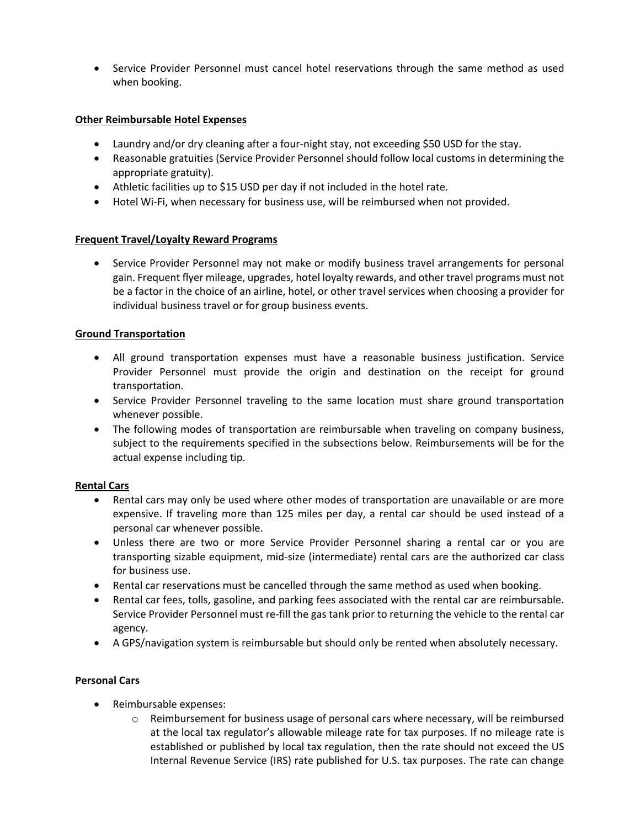• Service Provider Personnel must cancel hotel reservations through the same method as used when booking.

# **Other Reimbursable Hotel Expenses**

- Laundry and/or dry cleaning after a four-night stay, not exceeding \$50 USD for the stay.
- Reasonable gratuities (Service Provider Personnel should follow local customs in determining the appropriate gratuity).
- Athletic facilities up to \$15 USD per day if not included in the hotel rate.
- Hotel Wi-Fi, when necessary for business use, will be reimbursed when not provided.

# **Frequent Travel/Loyalty Reward Programs**

• Service Provider Personnel may not make or modify business travel arrangements for personal gain. Frequent flyer mileage, upgrades, hotel loyalty rewards, and other travel programs must not be a factor in the choice of an airline, hotel, or other travel services when choosing a provider for individual business travel or for group business events.

# **Ground Transportation**

- All ground transportation expenses must have a reasonable business justification. Service Provider Personnel must provide the origin and destination on the receipt for ground transportation.
- Service Provider Personnel traveling to the same location must share ground transportation whenever possible.
- The following modes of transportation are reimbursable when traveling on company business, subject to the requirements specified in the subsections below. Reimbursements will be for the actual expense including tip.

# **Rental Cars**

- Rental cars may only be used where other modes of transportation are unavailable or are more expensive. If traveling more than 125 miles per day, a rental car should be used instead of a personal car whenever possible.
- Unless there are two or more Service Provider Personnel sharing a rental car or you are transporting sizable equipment, mid-size (intermediate) rental cars are the authorized car class for business use.
- Rental car reservations must be cancelled through the same method as used when booking.
- Rental car fees, tolls, gasoline, and parking fees associated with the rental car are reimbursable. Service Provider Personnel must re-fill the gas tank prior to returning the vehicle to the rental car agency.
- A GPS/navigation system is reimbursable but should only be rented when absolutely necessary.

# **Personal Cars**

- Reimbursable expenses:
	- $\circ$  Reimbursement for business usage of personal cars where necessary, will be reimbursed at the local tax regulator's allowable mileage rate for tax purposes. If no mileage rate is established or published by local tax regulation, then the rate should not exceed the US Internal Revenue Service (IRS) rate published for U.S. tax purposes. The rate can change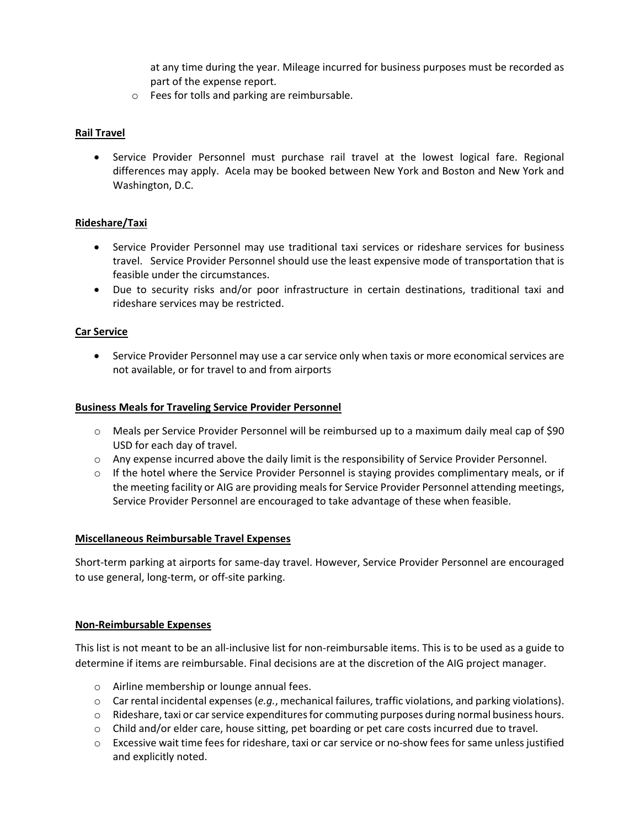at any time during the year. Mileage incurred for business purposes must be recorded as part of the expense report.

o Fees for tolls and parking are reimbursable.

# **Rail Travel**

• Service Provider Personnel must purchase rail travel at the lowest logical fare. Regional differences may apply. Acela may be booked between New York and Boston and New York and Washington, D.C.

# **Rideshare/Taxi**

- Service Provider Personnel may use traditional taxi services or rideshare services for business travel. Service Provider Personnel should use the least expensive mode of transportation that is feasible under the circumstances.
- Due to security risks and/or poor infrastructure in certain destinations, traditional taxi and rideshare services may be restricted.

# **Car Service**

• Service Provider Personnel may use a car service only when taxis or more economical services are not available, or for travel to and from airports

#### **Business Meals for Traveling Service Provider Personnel**

- o Meals per Service Provider Personnel will be reimbursed up to a maximum daily meal cap of \$90 USD for each day of travel.
- o Any expense incurred above the daily limit is the responsibility of Service Provider Personnel.
- $\circ$  If the hotel where the Service Provider Personnel is staying provides complimentary meals, or if the meeting facility or AIG are providing meals for Service Provider Personnel attending meetings, Service Provider Personnel are encouraged to take advantage of these when feasible.

#### **Miscellaneous Reimbursable Travel Expenses**

Short-term parking at airports for same-day travel. However, Service Provider Personnel are encouraged to use general, long-term, or off-site parking.

# **Non-Reimbursable Expenses**

This list is not meant to be an all-inclusive list for non-reimbursable items. This is to be used as a guide to determine if items are reimbursable. Final decisions are at the discretion of the AIG project manager.

- o Airline membership or lounge annual fees.
- o Car rental incidental expenses (*e.g.*, mechanical failures, traffic violations, and parking violations).
- $\circ$  Rideshare, taxi or car service expenditures for commuting purposes during normal business hours.
- o Child and/or elder care, house sitting, pet boarding or pet care costs incurred due to travel.
- $\circ$  Excessive wait time fees for rideshare, taxi or car service or no-show fees for same unless justified and explicitly noted.